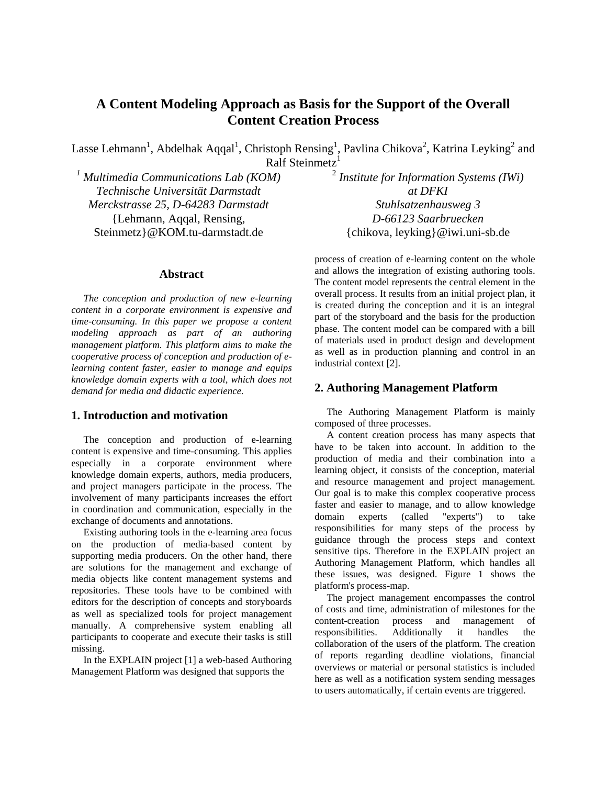# **A Content Modeling Approach as Basis for the Support of the Overall Content Creation Process**

Lasse Lehmann<sup>1</sup>, Abdelhak Aqqal<sup>1</sup>, Christoph Rensing<sup>1</sup>, Pavlina Chikova<sup>2</sup>, Katrina Leyking<sup>2</sup> and Ralf Steinmetz $<sup>1</sup>$ </sup>

*1 Multimedia Communications Lab (KOM) Technische Universität Darmstadt Merckstrasse 25, D-64283 Darmstadt*  {Lehmann, Aqqal, Rensing, Steinmetz}@KOM.tu-darmstadt.de

## **Abstract**

*The conception and production of new e-learning content in a corporate environment is expensive and time-consuming. In this paper we propose a content modeling approach as part of an authoring management platform. This platform aims to make the cooperative process of conception and production of elearning content faster, easier to manage and equips knowledge domain experts with a tool, which does not demand for media and didactic experience.* 

## **1. Introduction and motivation**

The conception and production of e-learning content is expensive and time-consuming. This applies especially in a corporate environment where knowledge domain experts, authors, media producers, and project managers participate in the process. The involvement of many participants increases the effort in coordination and communication, especially in the exchange of documents and annotations.

Existing authoring tools in the e-learning area focus on the production of media-based content by supporting media producers. On the other hand, there are solutions for the management and exchange of media objects like content management systems and repositories. These tools have to be combined with editors for the description of concepts and storyboards as well as specialized tools for project management manually. A comprehensive system enabling all participants to cooperate and execute their tasks is still missing.

In the EXPLAIN project [1] a web-based Authoring Management Platform was designed that supports the

<sup>2</sup> *Institute for Information Systems (IWi) at DFKI Stuhlsatzenhausweg 3 D-66123 Saarbruecken*  {chikova, leyking}@iwi.uni-sb.de

process of creation of e-learning content on the whole and allows the integration of existing authoring tools. The content model represents the central element in the overall process. It results from an initial project plan, it is created during the conception and it is an integral part of the storyboard and the basis for the production phase. The content model can be compared with a bill of materials used in product design and development as well as in production planning and control in an industrial context [2].

## **2. Authoring Management Platform**

The Authoring Management Platform is mainly composed of three processes.

A content creation process has many aspects that have to be taken into account. In addition to the production of media and their combination into a learning object, it consists of the conception, material and resource management and project management. Our goal is to make this complex cooperative process faster and easier to manage, and to allow knowledge domain experts (called "experts") to take responsibilities for many steps of the process by guidance through the process steps and context sensitive tips. Therefore in the EXPLAIN project an Authoring Management Platform, which handles all these issues, was designed. Figure 1 shows the platform's process-map.

The project management encompasses the control of costs and time, administration of milestones for the content-creation process and management of responsibilities. Additionally it handles the collaboration of the users of the platform. The creation of reports regarding deadline violations, financial overviews or material or personal statistics is included here as well as a notification system sending messages to users automatically, if certain events are triggered.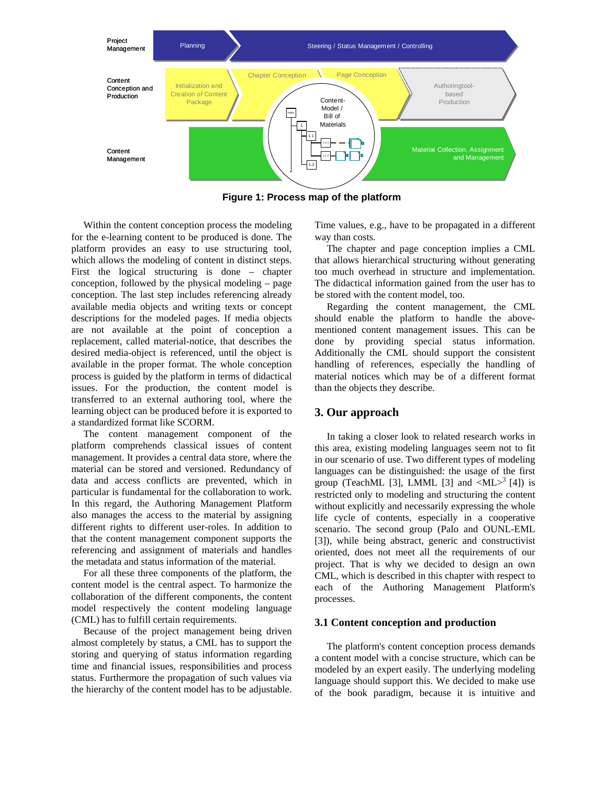

**Figure 1: Process map of the platform** 

Within the content conception process the modeling for the e-learning content to be produced is done. The platform provides an easy to use structuring tool, which allows the modeling of content in distinct steps. First the logical structuring is done – chapter conception, followed by the physical modeling – page conception. The last step includes referencing already available media objects and writing texts or concept descriptions for the modeled pages. If media objects are not available at the point of conception a replacement, called material-notice, that describes the desired media-object is referenced, until the object is available in the proper format. The whole conception process is guided by the platform in terms of didactical issues. For the production, the content model is transferred to an external authoring tool, where the learning object can be produced before it is exported to a standardized format like SCORM.

The content management component of the platform comprehends classical issues of content management. It provides a central data store, where the material can be stored and versioned. Redundancy of data and access conflicts are prevented, which in particular is fundamental for the collaboration to work. In this regard, the Authoring Management Platform also manages the access to the material by assigning different rights to different user-roles. In addition to that the content management component supports the referencing and assignment of materials and handles the metadata and status information of the material.

For all these three components of the platform, the content model is the central aspect. To harmonize the collaboration of the different components, the content model respectively the content modeling language (CML) has to fulfill certain requirements.

Because of the project management being driven almost completely by status, a CML has to support the storing and querying of status information regarding time and financial issues, responsibilities and process status. Furthermore the propagation of such values via the hierarchy of the content model has to be adjustable. Time values, e.g., have to be propagated in a different way than costs.

The chapter and page conception implies a CML that allows hierarchical structuring without generating too much overhead in structure and implementation. The didactical information gained from the user has to be stored with the content model, too.

Regarding the content management, the CML should enable the platform to handle the abovementioned content management issues. This can be done by providing special status information. Additionally the CML should support the consistent handling of references, especially the handling of material notices which may be of a different format than the objects they describe.

## **3. Our approach**

In taking a closer look to related research works in this area, existing modeling languages seem not to fit in our scenario of use. Two different types of modeling languages can be distinguished: the usage of the first group (TeachML [3], LMML [3] and  $|ML| >$ <sup>3</sup> [4]) is restricted only to modeling and structuring the content without explicitly and necessarily expressing the whole life cycle of contents, especially in a cooperative scenario. The second group (Palo and OUNL-EML [3]), while being abstract, generic and constructivist oriented, does not meet all the requirements of our project. That is why we decided to design an own CML, which is described in this chapter with respect to each of the Authoring Management Platform's processes.

#### **3.1 Content conception and production**

The platform's content conception process demands a content model with a concise structure, which can be modeled by an expert easily. The underlying modeling language should support this. We decided to make use of the book paradigm, because it is intuitive and